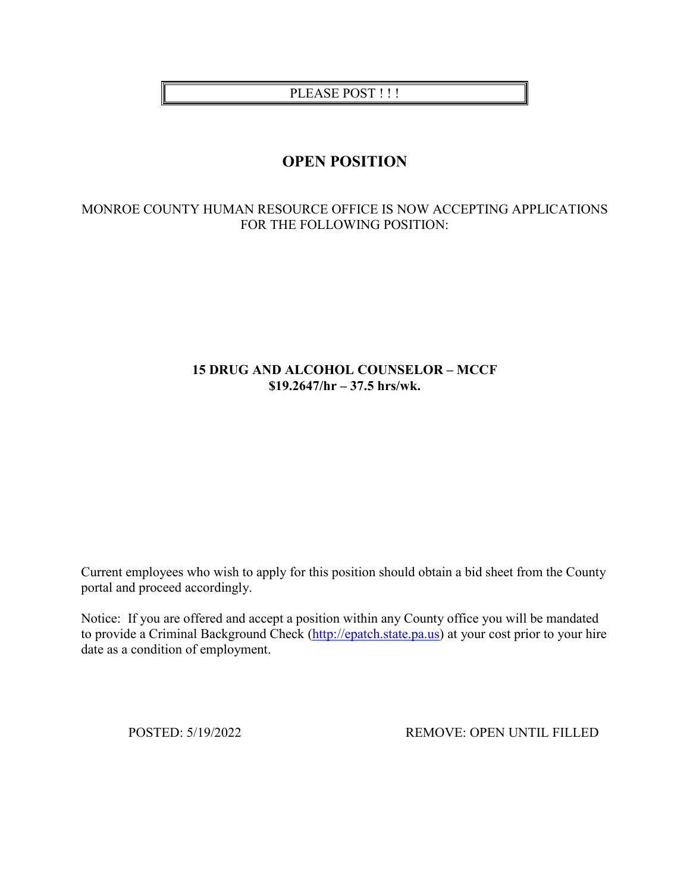PLEASE POST !!!

# **OPEN POSITION**

## MONROE COUNTY HUMAN RESOURCE OFFICE IS NOW ACCEPTING APPLICATIONS FOR THE FOLLOWING POSITION:

# **15 DRUG AND ALCOHOL COUNSELOR – MCCF \$19.2647/hr – 37.5 hrs/wk.**

Current employees who wish to apply for this position should obtain a bid sheet from the County portal and proceed accordingly.

Notice: If you are offered and accept a position within any County office you will be mandated to provide a Criminal Background Check [\(http://epatch.state.pa.us\)](http://epatch.state.pa.us/) at your cost prior to your hire date as a condition of employment.

POSTED: 5/19/2022 REMOVE: OPEN UNTIL FILLED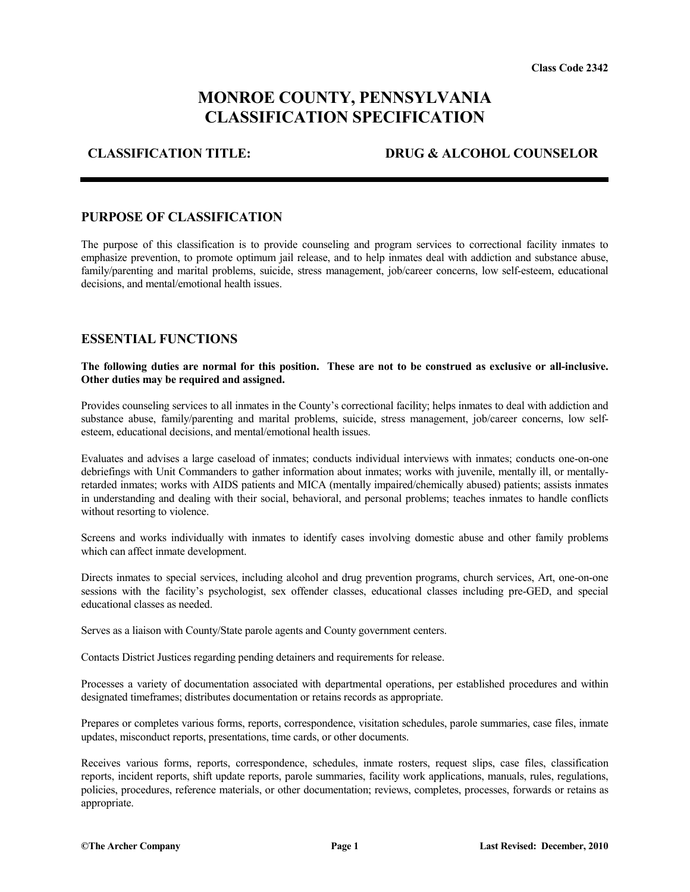# **MONROE COUNTY, PENNSYLVANIA CLASSIFICATION SPECIFICATION**

**CLASSIFICATION TITLE: DRUG & ALCOHOL COUNSELOR**

#### **PURPOSE OF CLASSIFICATION**

The purpose of this classification is to provide counseling and program services to correctional facility inmates to emphasize prevention, to promote optimum jail release, and to help inmates deal with addiction and substance abuse, family/parenting and marital problems, suicide, stress management, job/career concerns, low self-esteem, educational decisions, and mental/emotional health issues.

#### **ESSENTIAL FUNCTIONS**

#### **The following duties are normal for this position. These are not to be construed as exclusive or all-inclusive. Other duties may be required and assigned.**

Provides counseling services to all inmates in the County's correctional facility; helps inmates to deal with addiction and substance abuse, family/parenting and marital problems, suicide, stress management, job/career concerns, low selfesteem, educational decisions, and mental/emotional health issues.

Evaluates and advises a large caseload of inmates; conducts individual interviews with inmates; conducts one-on-one debriefings with Unit Commanders to gather information about inmates; works with juvenile, mentally ill, or mentallyretarded inmates; works with AIDS patients and MICA (mentally impaired/chemically abused) patients; assists inmates in understanding and dealing with their social, behavioral, and personal problems; teaches inmates to handle conflicts without resorting to violence.

Screens and works individually with inmates to identify cases involving domestic abuse and other family problems which can affect inmate development.

Directs inmates to special services, including alcohol and drug prevention programs, church services, Art, one-on-one sessions with the facility's psychologist, sex offender classes, educational classes including pre-GED, and special educational classes as needed.

Serves as a liaison with County/State parole agents and County government centers.

Contacts District Justices regarding pending detainers and requirements for release.

Processes a variety of documentation associated with departmental operations, per established procedures and within designated timeframes; distributes documentation or retains records as appropriate.

Prepares or completes various forms, reports, correspondence, visitation schedules, parole summaries, case files, inmate updates, misconduct reports, presentations, time cards, or other documents.

Receives various forms, reports, correspondence, schedules, inmate rosters, request slips, case files, classification reports, incident reports, shift update reports, parole summaries, facility work applications, manuals, rules, regulations, policies, procedures, reference materials, or other documentation; reviews, completes, processes, forwards or retains as appropriate.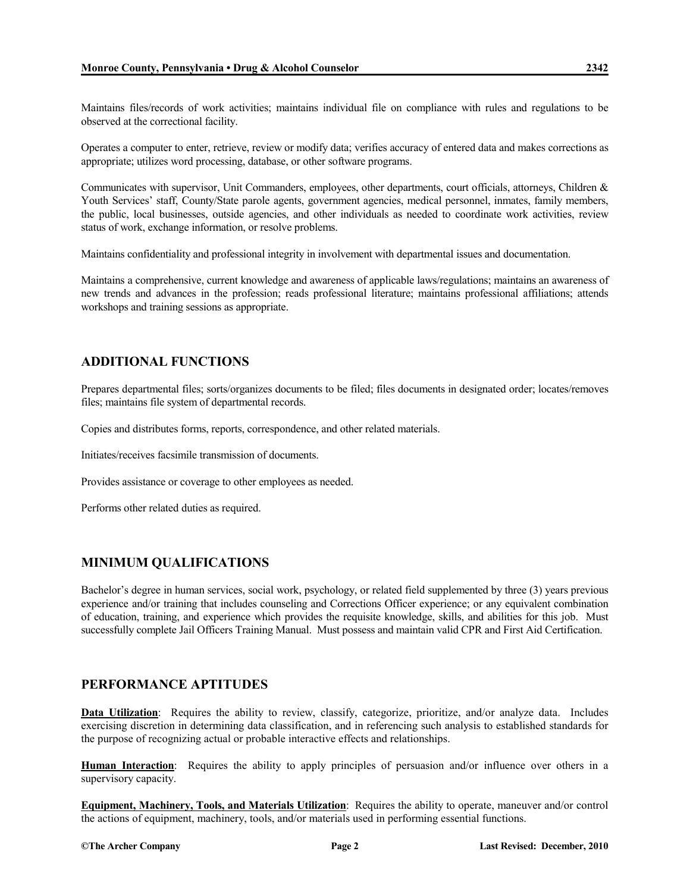Maintains files/records of work activities; maintains individual file on compliance with rules and regulations to be observed at the correctional facility.

Operates a computer to enter, retrieve, review or modify data; verifies accuracy of entered data and makes corrections as appropriate; utilizes word processing, database, or other software programs.

Communicates with supervisor, Unit Commanders, employees, other departments, court officials, attorneys, Children & Youth Services' staff, County/State parole agents, government agencies, medical personnel, inmates, family members, the public, local businesses, outside agencies, and other individuals as needed to coordinate work activities, review status of work, exchange information, or resolve problems.

Maintains confidentiality and professional integrity in involvement with departmental issues and documentation.

Maintains a comprehensive, current knowledge and awareness of applicable laws/regulations; maintains an awareness of new trends and advances in the profession; reads professional literature; maintains professional affiliations; attends workshops and training sessions as appropriate.

#### **ADDITIONAL FUNCTIONS**

Prepares departmental files; sorts/organizes documents to be filed; files documents in designated order; locates/removes files; maintains file system of departmental records.

Copies and distributes forms, reports, correspondence, and other related materials.

Initiates/receives facsimile transmission of documents.

Provides assistance or coverage to other employees as needed.

Performs other related duties as required.

### **MINIMUM QUALIFICATIONS**

Bachelor's degree in human services, social work, psychology, or related field supplemented by three (3) years previous experience and/or training that includes counseling and Corrections Officer experience; or any equivalent combination of education, training, and experience which provides the requisite knowledge, skills, and abilities for this job. Must successfully complete Jail Officers Training Manual. Must possess and maintain valid CPR and First Aid Certification.

### **PERFORMANCE APTITUDES**

**Data Utilization**: Requires the ability to review, classify, categorize, prioritize, and/or analyze data. Includes exercising discretion in determining data classification, and in referencing such analysis to established standards for the purpose of recognizing actual or probable interactive effects and relationships.

**Human Interaction**: Requires the ability to apply principles of persuasion and/or influence over others in a supervisory capacity.

**Equipment, Machinery, Tools, and Materials Utilization**: Requires the ability to operate, maneuver and/or control the actions of equipment, machinery, tools, and/or materials used in performing essential functions.